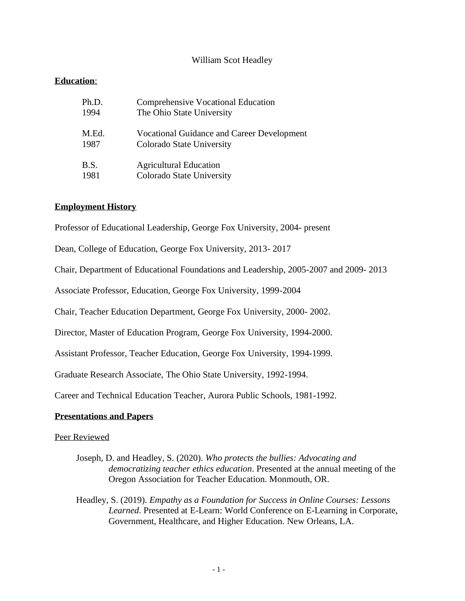# William Scot Headley

# **Education**:

| Ph.D. | <b>Comprehensive Vocational Education</b>         |
|-------|---------------------------------------------------|
| 1994  | The Ohio State University                         |
| M.Ed. | <b>Vocational Guidance and Career Development</b> |
| 1987  | Colorado State University                         |
| B.S.  | <b>Agricultural Education</b>                     |
| 1981  | Colorado State University                         |

### **Employment History**

Professor of Educational Leadership, George Fox University, 2004- present

Dean, College of Education, George Fox University, 2013- 2017

Chair, Department of Educational Foundations and Leadership, 2005-2007 and 2009- 2013

Associate Professor, Education, George Fox University, 1999-2004

Chair, Teacher Education Department, George Fox University, 2000- 2002.

Director, Master of Education Program, George Fox University, 1994-2000.

Assistant Professor, Teacher Education, George Fox University, 1994-1999.

Graduate Research Associate, The Ohio State University, 1992-1994.

Career and Technical Education Teacher, Aurora Public Schools, 1981-1992.

### **Presentations and Papers**

### Peer Reviewed

Joseph, D. and Headley, S. (2020). *Who protects the bullies: Advocating and democratizing teacher ethics education*. Presented at the annual meeting of the Oregon Association for Teacher Education. Monmouth, OR.

Headley, S. (2019). *Empathy as a Foundation for Success in Online Courses: Lessons Learned*. Presented at E-Learn: World Conference on E-Learning in Corporate, Government, Healthcare, and Higher Education. New Orleans, LA.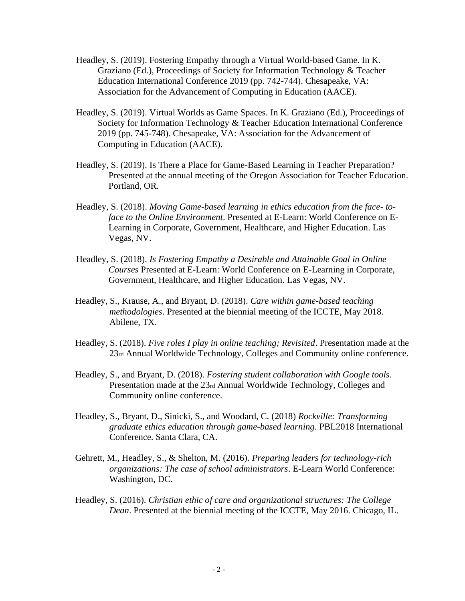- Headley, S. (2019). Fostering Empathy through a Virtual World-based Game. In K. Graziano (Ed.), Proceedings of Society for Information Technology & Teacher Education International Conference 2019 (pp. 742-744). Chesapeake, VA: Association for the Advancement of Computing in Education (AACE).
- Headley, S. (2019). Virtual Worlds as Game Spaces. In K. Graziano (Ed.), Proceedings of Society for Information Technology & Teacher Education International Conference 2019 (pp. 745-748). Chesapeake, VA: Association for the Advancement of Computing in Education (AACE).
- Headley, S. (2019). Is There a Place for Game-Based Learning in Teacher Preparation? Presented at the annual meeting of the Oregon Association for Teacher Education. Portland, OR.
- Headley, S. (2018). *Moving Game-based learning in ethics education from the face- toface to the Online Environment*. Presented at E-Learn: World Conference on E-Learning in Corporate, Government, Healthcare, and Higher Education. Las Vegas, NV.
- Headley, S. (2018). *Is Fostering Empathy a Desirable and Attainable Goal in Online Courses* Presented at E-Learn: World Conference on E-Learning in Corporate, Government, Healthcare, and Higher Education. Las Vegas, NV.
- Headley, S., Krause, A., and Bryant, D. (2018). *Care within game-based teaching methodologies*. Presented at the biennial meeting of the ICCTE, May 2018. Abilene, TX.
- Headley, S. (2018). *Five roles I play in online teaching; Revisited*. Presentation made at the 23rd Annual Worldwide Technology, Colleges and Community online conference.
- Headley, S., and Bryant, D. (2018). *Fostering student collaboration with Google tools*. Presentation made at the 23rd Annual Worldwide Technology, Colleges and Community online conference.
- Headley, S., Bryant, D., Sinicki, S., and Woodard, C. (2018) *Rockville: Transforming graduate ethics education through game-based learning*. PBL2018 International Conference. Santa Clara, CA.
- Gehrett, M., Headley, S., & Shelton, M. (2016). *Preparing leaders for technology-rich organizations: The case of school administrators*. E-Learn World Conference: Washington, DC.
- Headley, S. (2016). *Christian ethic of care and organizational structures: The College Dean*. Presented at the biennial meeting of the ICCTE, May 2016. Chicago, IL.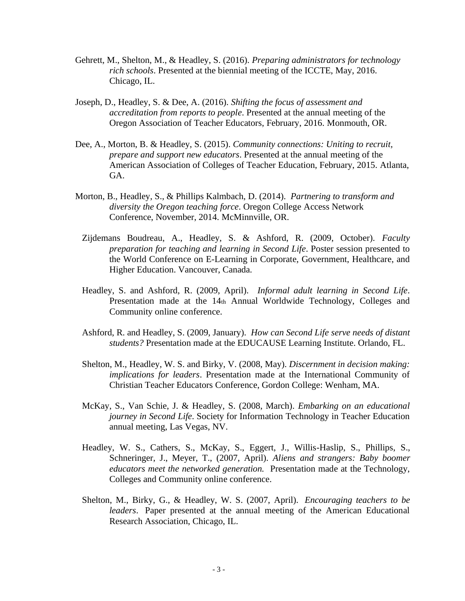- Gehrett, M., Shelton, M., & Headley, S. (2016). *Preparing administrators for technology rich schools*. Presented at the biennial meeting of the ICCTE, May, 2016. Chicago, IL.
- Joseph, D., Headley, S. & Dee, A. (2016). *Shifting the focus of assessment and accreditation from reports to people*. Presented at the annual meeting of the Oregon Association of Teacher Educators, February, 2016. Monmouth, OR.
- Dee, A., Morton, B. & Headley, S. (2015). *Community connections: Uniting to recruit, prepare and support new educators*. Presented at the annual meeting of the American Association of Colleges of Teacher Education, February, 2015. Atlanta, GA.
- Morton, B., Headley, S., & Phillips Kalmbach, D. (2014). *Partnering to transform and diversity the Oregon teaching force*. Oregon College Access Network Conference, November, 2014. McMinnville, OR.
	- Zijdemans Boudreau, A., Headley, S. & Ashford, R. (2009, October). *Faculty preparation for teaching and learning in Second Life*. Poster session presented to the World Conference on E-Learning in Corporate, Government, Healthcare, and Higher Education. Vancouver, Canada.
	- Headley, S. and Ashford, R. (2009, April). *Informal adult learning in Second Life*. Presentation made at the 14th Annual Worldwide Technology, Colleges and Community online conference.
	- Ashford, R. and Headley, S. (2009, January). *How can Second Life serve needs of distant students?* Presentation made at the EDUCAUSE Learning Institute. Orlando, FL.
	- Shelton, M., Headley, W. S. and Birky, V. (2008, May). *Discernment in decision making: implications for leaders*. Presentation made at the International Community of Christian Teacher Educators Conference, Gordon College: Wenham, MA.
	- McKay, S., Van Schie, J. & Headley, S. (2008, March). *Embarking on an educational journey in Second Life*. Society for Information Technology in Teacher Education annual meeting, Las Vegas, NV.
	- Headley, W. S., Cathers, S., McKay, S., Eggert, J., Willis-Haslip, S., Phillips, S., Schneringer, J., Meyer, T., (2007, April). *Aliens and strangers: Baby boomer educators meet the networked generation.* Presentation made at the Technology, Colleges and Community online conference.
	- Shelton, M., Birky, G., & Headley, W. S. (2007, April). *Encouraging teachers to be leaders*. Paper presented at the annual meeting of the American Educational Research Association, Chicago, IL.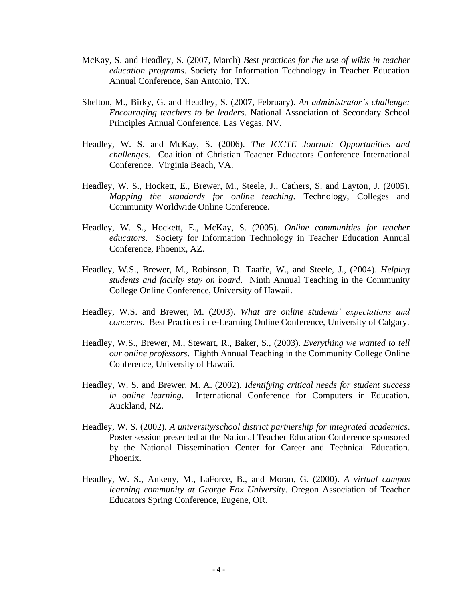- McKay, S. and Headley, S. (2007, March) *Best practices for the use of wikis in teacher education programs*. Society for Information Technology in Teacher Education Annual Conference, San Antonio, TX.
- Shelton, M., Birky, G. and Headley, S. (2007, February). *An administrator's challenge: Encouraging teachers to be leaders*. National Association of Secondary School Principles Annual Conference, Las Vegas, NV.
- Headley, W. S. and McKay, S. (2006). *The ICCTE Journal: Opportunities and challenges*. Coalition of Christian Teacher Educators Conference International Conference. Virginia Beach, VA.
- Headley, W. S., Hockett, E., Brewer, M., Steele, J., Cathers, S. and Layton, J. (2005). *Mapping the standards for online teaching*. Technology, Colleges and Community Worldwide Online Conference.
- Headley, W. S., Hockett, E., McKay, S. (2005). *Online communities for teacher educators*. Society for Information Technology in Teacher Education Annual Conference, Phoenix, AZ.
- Headley, W.S., Brewer, M., Robinson, D. Taaffe, W., and Steele, J., (2004). *Helping students and faculty stay on board*. Ninth Annual Teaching in the Community College Online Conference, University of Hawaii.
- Headley, W.S. and Brewer, M. (2003). *What are online students' expectations and concerns*. Best Practices in e-Learning Online Conference, University of Calgary.
- Headley, W.S., Brewer, M., Stewart, R., Baker, S., (2003). *Everything we wanted to tell our online professors*. Eighth Annual Teaching in the Community College Online Conference, University of Hawaii.
- Headley, W. S. and Brewer, M. A. (2002). *Identifying critical needs for student success in online learning*. International Conference for Computers in Education. Auckland, NZ.
- Headley, W. S. (2002). *A university/school district partnership for integrated academics*. Poster session presented at the National Teacher Education Conference sponsored by the National Dissemination Center for Career and Technical Education. Phoenix.
- Headley, W. S., Ankeny, M., LaForce, B., and Moran, G. (2000). *A virtual campus learning community at George Fox University*. Oregon Association of Teacher Educators Spring Conference, Eugene, OR.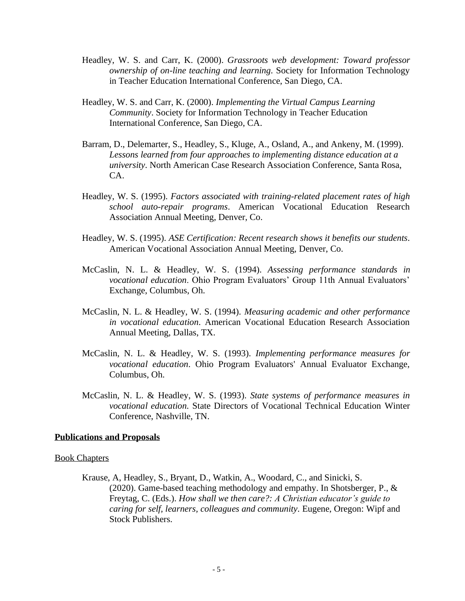- Headley, W. S. and Carr, K. (2000). *Grassroots web development: Toward professor ownership of on-line teaching and learning*. Society for Information Technology in Teacher Education International Conference, San Diego, CA.
- Headley, W. S. and Carr, K. (2000). *Implementing the Virtual Campus Learning Community*. Society for Information Technology in Teacher Education International Conference, San Diego, CA.
- Barram, D., Delemarter, S., Headley, S., Kluge, A., Osland, A., and Ankeny, M. (1999). *Lessons learned from four approaches to implementing distance education at a university*. North American Case Research Association Conference, Santa Rosa, CA.
- Headley, W. S. (1995). *Factors associated with training-related placement rates of high school auto-repair programs*. American Vocational Education Research Association Annual Meeting, Denver, Co.
- Headley, W. S. (1995). *ASE Certification: Recent research shows it benefits our students*. American Vocational Association Annual Meeting, Denver, Co.
- McCaslin, N. L. & Headley, W. S. (1994). *Assessing performance standards in vocational education*. Ohio Program Evaluators' Group 11th Annual Evaluators' Exchange, Columbus, Oh.
- McCaslin, N. L. & Headley, W. S. (1994). *Measuring academic and other performance in vocational education*. American Vocational Education Research Association Annual Meeting, Dallas, TX.
- McCaslin, N. L. & Headley, W. S. (1993). *Implementing performance measures for vocational education*. Ohio Program Evaluators' Annual Evaluator Exchange, Columbus, Oh.
- McCaslin, N. L. & Headley, W. S. (1993). *State systems of performance measures in vocational education.* State Directors of Vocational Technical Education Winter Conference, Nashville, TN.

#### **Publications and Proposals**

#### Book Chapters

Krause, A, Headley, S., Bryant, D., Watkin, A., Woodard, C., and Sinicki, S. (2020). Game-based teaching methodology and empathy. In Shotsberger, P., & Freytag, C. (Eds.). *How shall we then care?: A Christian educator's guide to caring for self, learners, colleagues and community*. Eugene, Oregon: Wipf and Stock Publishers.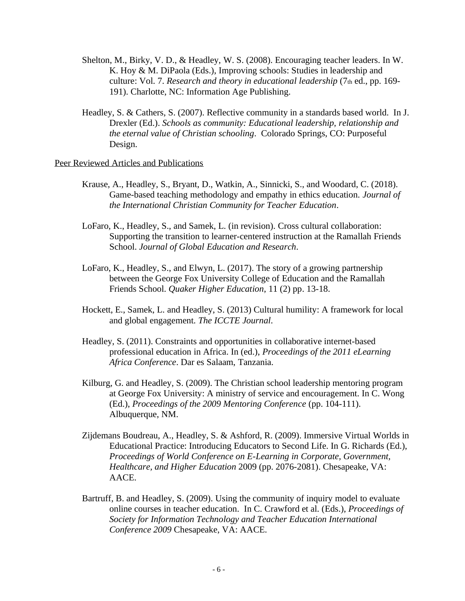- Shelton, M., Birky, V. D., & Headley, W. S. (2008). Encouraging teacher leaders. In W. K. Hoy & M. DiPaola (Eds.), Improving schools: Studies in leadership and culture: Vol. 7. *Research and theory in educational leadership* (7th ed., pp. 169- 191). Charlotte, NC: Information Age Publishing.
- Headley, S. & Cathers, S. (2007). Reflective community in a standards based world. In J. Drexler (Ed.). *Schools as community: Educational leadership, relationship and the eternal value of Christian schooling*. Colorado Springs, CO: Purposeful Design.

## Peer Reviewed Articles and Publications

- Krause, A., Headley, S., Bryant, D., Watkin, A., Sinnicki, S., and Woodard, C. (2018). Game-based teaching methodology and empathy in ethics education. *Journal of the International Christian Community for Teacher Education*.
- LoFaro, K., Headley, S., and Samek, L. (in revision). Cross cultural collaboration: Supporting the transition to learner-centered instruction at the Ramallah Friends School. *Journal of Global Education and Research*.
- LoFaro, K., Headley, S., and Elwyn, L. (2017). The story of a growing partnership between the George Fox University College of Education and the Ramallah Friends School. *Quaker Higher Education*, 11 (2) pp. 13-18.
- Hockett, E., Samek, L. and Headley, S. (2013) Cultural humility: A framework for local and global engagement. *The ICCTE Journal*.
- Headley, S. (2011). Constraints and opportunities in collaborative internet-based professional education in Africa. In (ed.), *Proceedings of the 2011 eLearning Africa Conference*. Dar es Salaam, Tanzania.
- Kilburg, G. and Headley, S. (2009). The Christian school leadership mentoring program at George Fox University: A ministry of service and encouragement. In C. Wong (Ed.), *Proceedings of the 2009 Mentoring Conference* (pp. 104-111). Albuquerque, NM.
- Zijdemans Boudreau, A., Headley, S. & Ashford, R. (2009). Immersive Virtual Worlds in Educational Practice: Introducing Educators to Second Life. In G. Richards (Ed.), *Proceedings of World Conference on E-Learning in Corporate, Government, Healthcare, and Higher Education* 2009 (pp. 2076-2081). Chesapeake, VA: AACE.
- Bartruff, B. and Headley, S. (2009). Using the community of inquiry model to evaluate online courses in teacher education. In C. Crawford et al. (Eds.), *Proceedings of Society for Information Technology and Teacher Education International Conference 2009* Chesapeake, VA: AACE.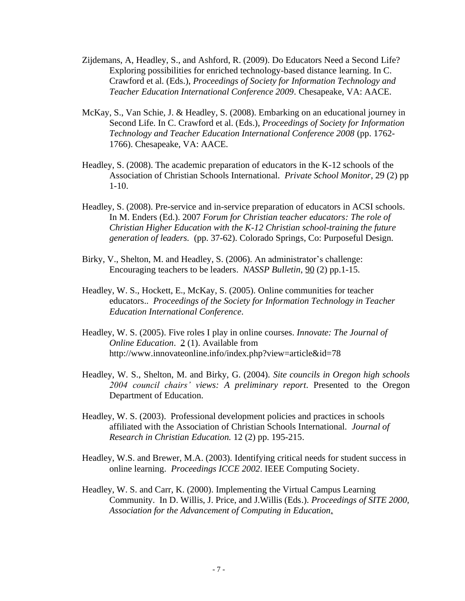- Zijdemans, A, Headley, S., and Ashford, R. (2009). Do Educators Need a Second Life? Exploring possibilities for enriched technology-based distance learning. In C. Crawford et al. (Eds.), *Proceedings of Society for Information Technology and Teacher Education International Conference 2009*. Chesapeake, VA: AACE.
- McKay, S., Van Schie, J. & Headley, S. (2008). Embarking on an educational journey in Second Life. In C. Crawford et al. (Eds.), *Proceedings of Society for Information Technology and Teacher Education International Conference 2008* (pp. 1762- 1766). Chesapeake, VA: AACE.
- Headley, S. (2008). The academic preparation of educators in the K-12 schools of the Association of Christian Schools International. *Private School Monitor*, 29 (2) pp 1-10.
- Headley, S. (2008). Pre-service and in-service preparation of educators in ACSI schools. In M. Enders (Ed.). 2007 *Forum for Christian teacher educators: The role of Christian Higher Education with the K-12 Christian school-training the future generation of leaders.* (pp. 37-62). Colorado Springs, Co: Purposeful Design.
- Birky, V., Shelton, M. and Headley, S. (2006). An administrator's challenge: Encouraging teachers to be leaders. *NASSP Bulletin*, 90 (2) pp.1-15.
- Headley, W. S., Hockett, E., McKay, S. (2005). Online communities for teacher educators.. *Proceedings of the Society for Information Technology in Teacher Education International Conference*.
- Headley, W. S. (2005). Five roles I play in online courses. *Innovate: The Journal of Online Education*. 2 (1). Available from http://www.innovateonline.info/index.php?view=article&id=78
- Headley, W. S., Shelton, M. and Birky, G. (2004). *Site councils in Oregon high schools 2004 council chairs' views: A preliminary report*. Presented to the Oregon Department of Education.
- Headley, W. S. (2003). Professional development policies and practices in schools affiliated with the Association of Christian Schools International. *Journal of Research in Christian Education.* 12 (2) pp. 195-215.
- Headley, W.S. and Brewer, M.A. (2003). Identifying critical needs for student success in online learning. *Proceedings ICCE 2002*. IEEE Computing Society.
- Headley, W. S. and Carr, K. (2000). Implementing the Virtual Campus Learning Community. In D. Willis, J. Price, and J.Willis (Eds.). *Proceedings of SITE 2000, Association for the Advancement of Computing in Education*.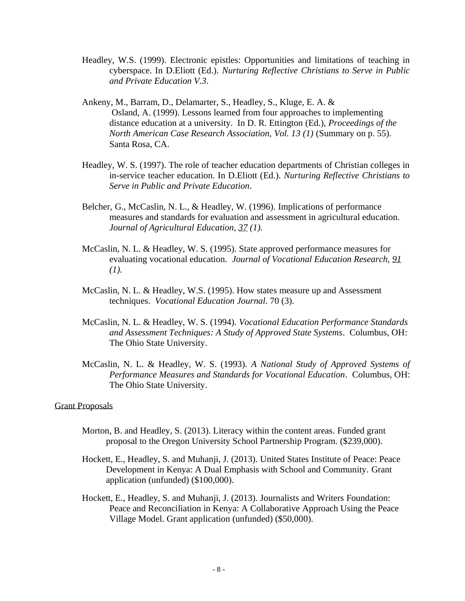- Headley, W.S. (1999). Electronic epistles: Opportunities and limitations of teaching in cyberspace. In D.Eliott (Ed.). *Nurturing Reflective Christians to Serve in Public and Private Education V.3*.
- Ankeny, M., Barram, D., Delamarter, S., Headley, S., Kluge, E. A. & Osland, A. (1999). Lessons learned from four approaches to implementing distance education at a university. In D. R. Ettington (Ed.), *Proceedings of the North American Case Research Association, Vol. 13 (1)* (Summary on p. 55). Santa Rosa, CA.
- Headley, W. S. (1997). The role of teacher education departments of Christian colleges in in-service teacher education. In D.Eliott (Ed.). *Nurturing Reflective Christians to Serve in Public and Private Education*.
- Belcher, G., McCaslin, N. L., & Headley, W. (1996). Implications of performance measures and standards for evaluation and assessment in agricultural education. *Journal of Agricultural Education, 37 (1).*
- McCaslin, N. L. & Headley, W. S. (1995). State approved performance measures for evaluating vocational education. *Journal of Vocational Education Research, 91 (1).*
- McCaslin, N. L. & Headley, W.S. (1995). How states measure up and Assessment techniques. *Vocational Education Journal*. 70 (3).
- McCaslin, N. L. & Headley, W. S. (1994). *Vocational Education Performance Standards and Assessment Techniques: A Study of Approved State Systems*. Columbus, OH: The Ohio State University.
- McCaslin, N. L. & Headley, W. S. (1993). *A National Study of Approved Systems of Performance Measures and Standards for Vocational Education*. Columbus, OH: The Ohio State University.

## Grant Proposals

- Morton, B. and Headley, S. (2013). Literacy within the content areas. Funded grant proposal to the Oregon University School Partnership Program. (\$239,000).
- Hockett, E., Headley, S. and Muhanji, J. (2013). United States Institute of Peace: Peace Development in Kenya: A Dual Emphasis with School and Community. Grant application (unfunded) (\$100,000).
- Hockett, E., Headley, S. and Muhanji, J. (2013). Journalists and Writers Foundation: Peace and Reconciliation in Kenya: A Collaborative Approach Using the Peace Village Model. Grant application (unfunded) (\$50,000).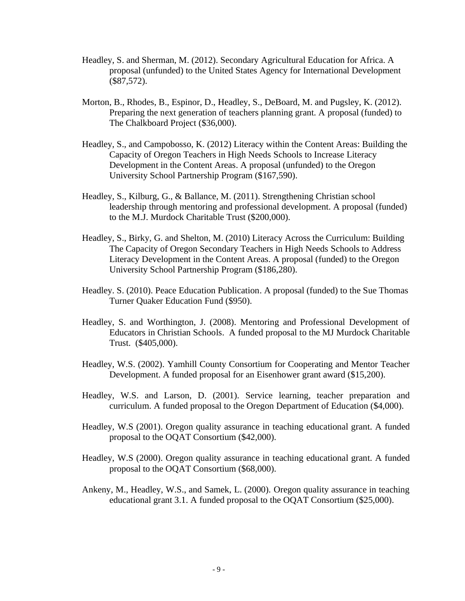- Headley, S. and Sherman, M. (2012). Secondary Agricultural Education for Africa. A proposal (unfunded) to the United States Agency for International Development (\$87,572).
- Morton, B., Rhodes, B., Espinor, D., Headley, S., DeBoard, M. and Pugsley, K. (2012). Preparing the next generation of teachers planning grant. A proposal (funded) to The Chalkboard Project (\$36,000).
- Headley, S., and Campobosso, K. (2012) Literacy within the Content Areas: Building the Capacity of Oregon Teachers in High Needs Schools to Increase Literacy Development in the Content Areas. A proposal (unfunded) to the Oregon University School Partnership Program (\$167,590).
- Headley, S., Kilburg, G., & Ballance, M. (2011). Strengthening Christian school leadership through mentoring and professional development. A proposal (funded) to the M.J. Murdock Charitable Trust (\$200,000).
- Headley, S., Birky, G. and Shelton, M. (2010) Literacy Across the Curriculum: Building The Capacity of Oregon Secondary Teachers in High Needs Schools to Address Literacy Development in the Content Areas. A proposal (funded) to the Oregon University School Partnership Program (\$186,280).
- Headley. S. (2010). Peace Education Publication. A proposal (funded) to the Sue Thomas Turner Quaker Education Fund (\$950).
- Headley, S. and Worthington, J. (2008). Mentoring and Professional Development of Educators in Christian Schools. A funded proposal to the MJ Murdock Charitable Trust. (\$405,000).
- Headley, W.S. (2002). Yamhill County Consortium for Cooperating and Mentor Teacher Development. A funded proposal for an Eisenhower grant award (\$15,200).
- Headley, W.S. and Larson, D. (2001). Service learning, teacher preparation and curriculum. A funded proposal to the Oregon Department of Education (\$4,000).
- Headley, W.S (2001). Oregon quality assurance in teaching educational grant. A funded proposal to the OQAT Consortium (\$42,000).
- Headley, W.S (2000). Oregon quality assurance in teaching educational grant. A funded proposal to the OQAT Consortium (\$68,000).
- Ankeny, M., Headley, W.S., and Samek, L. (2000). Oregon quality assurance in teaching educational grant 3.1. A funded proposal to the OQAT Consortium (\$25,000).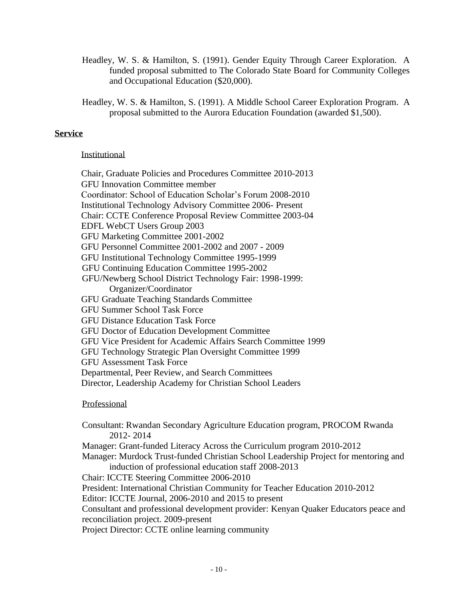- Headley, W. S. & Hamilton, S. (1991). Gender Equity Through Career Exploration. A funded proposal submitted to The Colorado State Board for Community Colleges and Occupational Education (\$20,000).
- Headley, W. S. & Hamilton, S. (1991). A Middle School Career Exploration Program. A proposal submitted to the Aurora Education Foundation (awarded \$1,500).

# **Service**

## Institutional

Chair, Graduate Policies and Procedures Committee 2010-2013 GFU Innovation Committee member Coordinator: School of Education Scholar's Forum 2008-2010 Institutional Technology Advisory Committee 2006- Present Chair: CCTE Conference Proposal Review Committee 2003-04 EDFL WebCT Users Group 2003 GFU Marketing Committee 2001-2002 GFU Personnel Committee 2001-2002 and 2007 - 2009 GFU Institutional Technology Committee 1995-1999 GFU Continuing Education Committee 1995-2002 GFU/Newberg School District Technology Fair: 1998-1999: Organizer/Coordinator GFU Graduate Teaching Standards Committee GFU Summer School Task Force GFU Distance Education Task Force GFU Doctor of Education Development Committee GFU Vice President for Academic Affairs Search Committee 1999 GFU Technology Strategic Plan Oversight Committee 1999 GFU Assessment Task Force Departmental, Peer Review, and Search Committees Director, Leadership Academy for Christian School Leaders

# Professional

Consultant: Rwandan Secondary Agriculture Education program, PROCOM Rwanda 2012- 2014 Manager: Grant-funded Literacy Across the Curriculum program 2010-2012 Manager: Murdock Trust-funded Christian School Leadership Project for mentoring and induction of professional education staff 2008-2013 Chair: ICCTE Steering Committee 2006-2010 President: International Christian Community for Teacher Education 2010-2012 Editor: ICCTE Journal, 2006-2010 and 2015 to present Consultant and professional development provider: Kenyan Quaker Educators peace and reconciliation project. 2009-present Project Director: CCTE online learning community